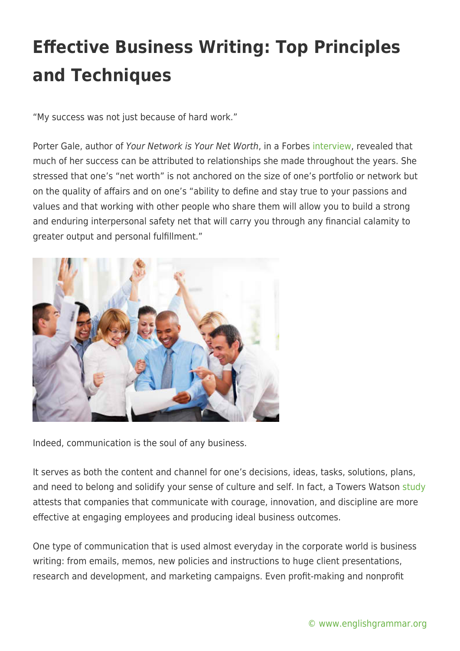"My success was not just because of hard work."

Porter Gale, author of Your Network is Your Net Worth, in a Forbes [interview,](https://www.forbes.com/sites/danschawbel/2013/06/04/porter-gale/) revealed that much of her success can be attributed to relationships she made throughout the years. She stressed that one's "net worth" is not anchored on the size of one's portfolio or network but on the quality of affairs and on one's "ability to define and stay true to your passions and values and that working with other people who share them will allow you to build a strong and enduring interpersonal safety net that will carry you through any financial calamity to greater output and personal fulfillment."



Indeed, communication is the soul of any business.

It serves as both the content and channel for one's decisions, ideas, tasks, solutions, plans, and need to belong and solidify your sense of culture and self. In fact, a Towers Watson [study](https://www.towerswatson.com/en/Insights/IC-Types/Survey-Research-Results/2009/12/20092010-Communication-ROI-Study-Report-Capitalizing-on-Effective-Communication) attests that companies that communicate with courage, innovation, and discipline are more effective at engaging employees and producing ideal business outcomes.

One type of communication that is used almost everyday in the corporate world is business writing: from emails, memos, new policies and instructions to huge client presentations, research and development, and marketing campaigns. Even profit-making and nonprofit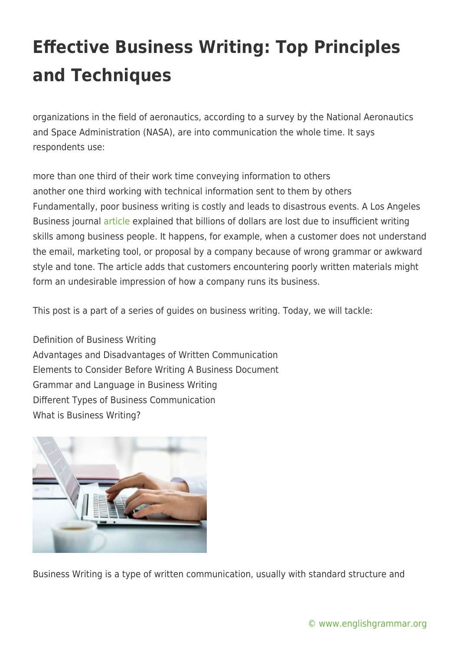organizations in the field of aeronautics, according to a survey by the National Aeronautics and Space Administration (NASA), are into communication the whole time. It says respondents use:

more than one third of their work time conveying information to others another one third working with technical information sent to them by others Fundamentally, poor business writing is costly and leads to disastrous events. A Los Angeles Business journal [article](https://www.nsaglac.org/joann-killeen-published-in-los-angeles-business-journal/) explained that billions of dollars are lost due to insufficient writing skills among business people. It happens, for example, when a customer does not understand the email, marketing tool, or proposal by a company because of wrong grammar or awkward style and tone. The article adds that customers encountering poorly written materials might form an undesirable impression of how a company runs its business.

This post is a part of a series of guides on business writing. Today, we will tackle:

Definition of Business Writing Advantages and Disadvantages of Written Communication Elements to Consider Before Writing A Business Document Grammar and Language in Business Writing Different Types of Business Communication What is Business Writing?



Business Writing is a type of written communication, usually with standard structure and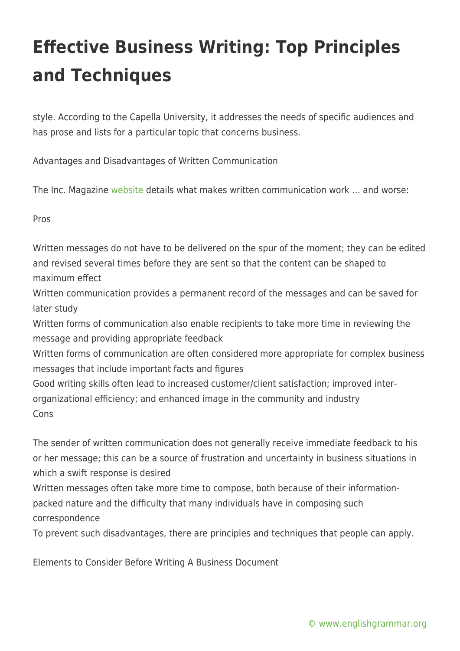style. According to the Capella University, it addresses the needs of specific audiences and has prose and lists for a particular topic that concerns business.

Advantages and Disadvantages of Written Communication

The Inc. Magazine [website](https://www.inc.com/encyclopedia/written-communication.html) details what makes written communication work … and worse:

Pros

Written messages do not have to be delivered on the spur of the moment; they can be edited and revised several times before they are sent so that the content can be shaped to maximum effect

Written communication provides a permanent record of the messages and can be saved for later study

Written forms of communication also enable recipients to take more time in reviewing the message and providing appropriate feedback

Written forms of communication are often considered more appropriate for complex business messages that include important facts and figures

Good writing skills often lead to increased customer/client satisfaction; improved interorganizational efficiency; and enhanced image in the community and industry Cons

The sender of written communication does not generally receive immediate feedback to his or her message; this can be a source of frustration and uncertainty in business situations in which a swift response is desired

Written messages often take more time to compose, both because of their informationpacked nature and the difficulty that many individuals have in composing such correspondence

To prevent such disadvantages, there are principles and techniques that people can apply.

Elements to Consider Before Writing A Business Document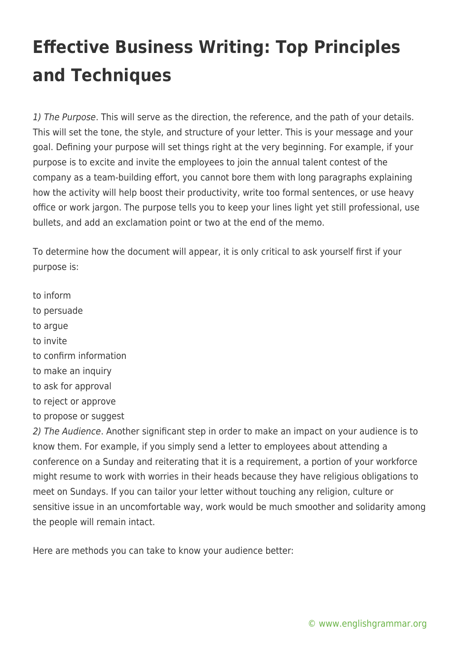1) The Purpose. This will serve as the direction, the reference, and the path of your details. This will set the tone, the style, and structure of your letter. This is your message and your goal. Defining your purpose will set things right at the very beginning. For example, if your purpose is to excite and invite the employees to join the annual talent contest of the company as a team-building effort, you cannot bore them with long paragraphs explaining how the activity will help boost their productivity, write too formal sentences, or use heavy office or work jargon. The purpose tells you to keep your lines light yet still professional, use bullets, and add an exclamation point or two at the end of the memo.

To determine how the document will appear, it is only critical to ask yourself first if your purpose is:

- to inform
- to persuade
- to argue
- to invite
- to confirm information
- to make an inquiry
- to ask for approval
- to reject or approve
- to propose or suggest

2) The Audience. Another significant step in order to make an impact on your audience is to know them. For example, if you simply send a letter to employees about attending a conference on a Sunday and reiterating that it is a requirement, a portion of your workforce might resume to work with worries in their heads because they have religious obligations to meet on Sundays. If you can tailor your letter without touching any religion, culture or sensitive issue in an uncomfortable way, work would be much smoother and solidarity among the people will remain intact.

Here are methods you can take to know your audience better: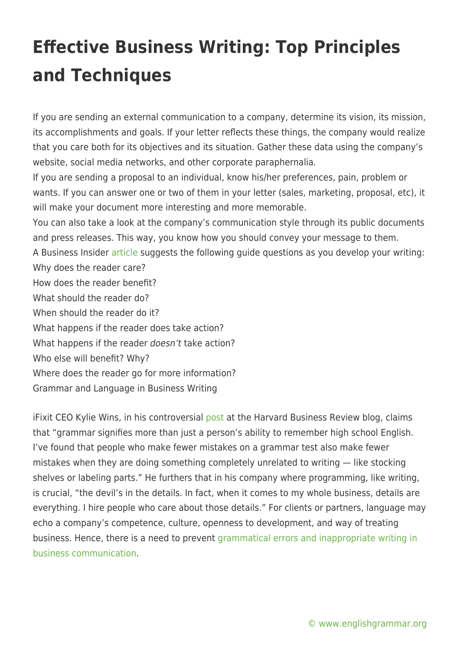If you are sending an external communication to a company, determine its vision, its mission, its accomplishments and goals. If your letter reflects these things, the company would realize that you care both for its objectives and its situation. Gather these data using the company's website, social media networks, and other corporate paraphernalia.

If you are sending a proposal to an individual, know his/her preferences, pain, problem or wants. If you can answer one or two of them in your letter (sales, marketing, proposal, etc), it will make your document more interesting and more memorable.

You can also take a look at the company's communication style through its public documents and press releases. This way, you know how you should convey your message to them.

A Business Insider [article](https://www.businessinsider.com/five-steps-to-better-business-writing-2011-2) suggests the following guide questions as you develop your writing: Why does the reader care?

- How does the reader benefit?
- What should the reader do?
- When should the reader do it?
- What happens if the reader does take action?
- What happens if the reader doesn't take action?
- Who else will benefit? Why?
- Where does the reader go for more information?
- Grammar and Language in Business Writing

iFixit CEO Kylie Wins, in his controversial [post](https://hbr.org/2012/07/i-wont-hire-people-who-use-poo) at the Harvard Business Review blog, claims that "grammar signifies more than just a person's ability to remember high school English. I've found that people who make fewer mistakes on a grammar test also make fewer mistakes when they are doing something completely unrelated to writing — like stocking shelves or labeling parts." He furthers that in his company where programming, like writing, is crucial, "the devil's in the details. In fact, when it comes to my whole business, details are everything. I hire people who care about those details." For clients or partners, language may echo a company's competence, culture, openness to development, and way of treating business. Hence, there is a need to prevent [grammatical errors and inappropriate writing in](https://www.grammarcheck.net/business-writing-blunders/) [business communication](https://www.grammarcheck.net/business-writing-blunders/).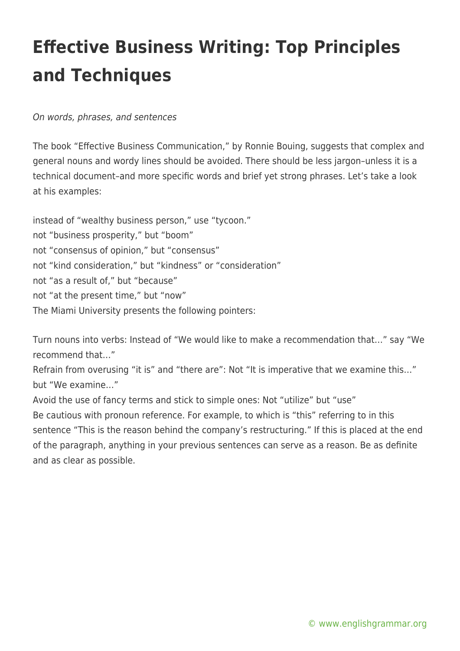On words, phrases, and sentences

The book "Effective Business Communication," by Ronnie Bouing, suggests that complex and general nouns and wordy lines should be avoided. There should be less jargon–unless it is a technical document–and more specific words and brief yet strong phrases. Let's take a look at his examples:

instead of "wealthy business person," use "tycoon." not "business prosperity," but "boom" not "consensus of opinion," but "consensus" not "kind consideration," but "kindness" or "consideration" not "as a result of," but "because" not "at the present time," but "now" The Miami University presents the following pointers:

Turn nouns into verbs: Instead of "We would like to make a recommendation that…" say "We recommend that…"

Refrain from overusing "it is" and "there are": Not "It is imperative that we examine this…" but "We examine…"

Avoid the use of fancy terms and stick to simple ones: Not "utilize" but "use" Be cautious with pronoun reference. For example, to which is "this" referring to in this sentence "This is the reason behind the company's restructuring." If this is placed at the end of the paragraph, anything in your previous sentences can serve as a reason. Be as definite and as clear as possible.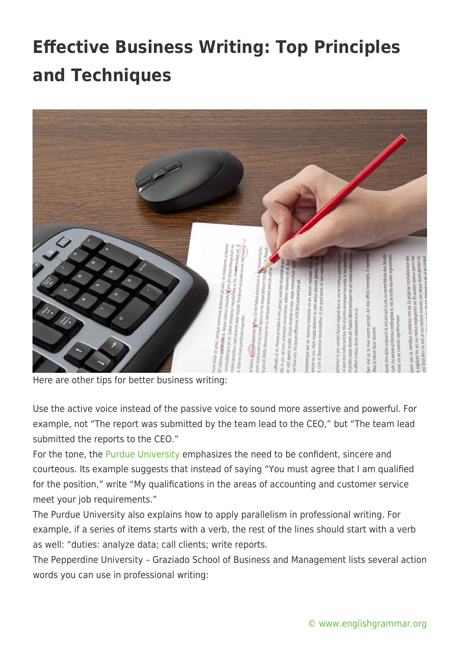

Here are other tips for better business writing:

Use the active voice instead of the passive voice to sound more assertive and powerful. For example, not "The report was submitted by the team lead to the CEO," but "The team lead submitted the reports to the CEO."

For the tone, the [Purdue University](https://owl.english.purdue.edu/owl/resource/652/01/) emphasizes the need to be confident, sincere and courteous. Its example suggests that instead of saying "You must agree that I am qualified for the position," write "My qualifications in the areas of accounting and customer service meet your job requirements."

The Purdue University also explains how to apply parallelism in professional writing. For example, if a series of items starts with a verb, the rest of the lines should start with a verb as well: "duties: analyze data; call clients; write reports.

The Pepperdine University – Graziado School of Business and Management lists several action words you can use in professional writing: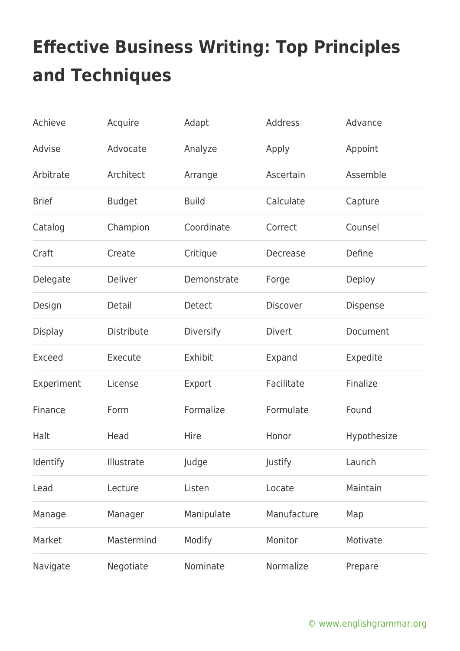| Achieve        | Acquire       | Adapt         | <b>Address</b>  | Advance     |
|----------------|---------------|---------------|-----------------|-------------|
| Advise         | Advocate      | Analyze       | Apply           | Appoint     |
| Arbitrate      | Architect     | Arrange       | Ascertain       | Assemble    |
| <b>Brief</b>   | <b>Budget</b> | <b>Build</b>  | Calculate       | Capture     |
| Catalog        | Champion      | Coordinate    | Correct         | Counsel     |
| Craft          | Create        | Critique      | Decrease        | Define      |
| Delegate       | Deliver       | Demonstrate   | Forge           | Deploy      |
| Design         | Detail        | <b>Detect</b> | <b>Discover</b> | Dispense    |
| <b>Display</b> | Distribute    | Diversify     | <b>Divert</b>   | Document    |
| <b>Exceed</b>  | Execute       | Exhibit       | Expand          | Expedite    |
| Experiment     | License       | Export        | Facilitate      | Finalize    |
| Finance        | Form          | Formalize     | Formulate       | Found       |
| Halt           | Head          | Hire          | Honor           | Hypothesize |
| Identify       | Illustrate    | Judge         | Justify         | Launch      |
| Lead           | Lecture       | Listen        | Locate          | Maintain    |
| Manage         | Manager       | Manipulate    | Manufacture     | Map         |
| Market         | Mastermind    | Modify        | Monitor         | Motivate    |
| Navigate       | Negotiate     | Nominate      | Normalize       | Prepare     |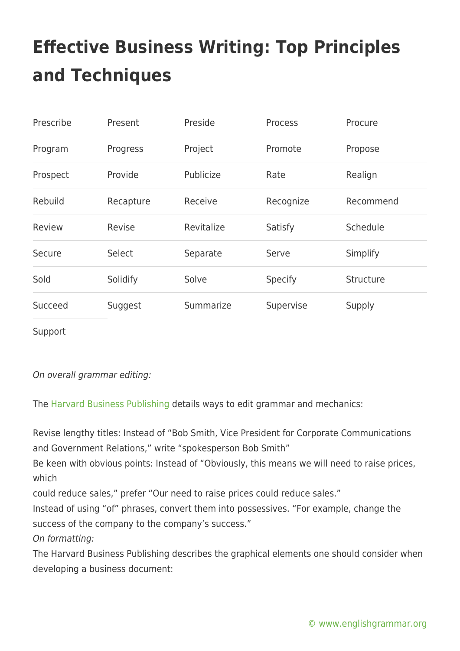| Prescribe | Present   | Preside    | <b>Process</b> | Procure   |
|-----------|-----------|------------|----------------|-----------|
| Program   | Progress  | Project    | Promote        | Propose   |
| Prospect  | Provide   | Publicize  | Rate           | Realign   |
| Rebuild   | Recapture | Receive    | Recognize      | Recommend |
| Review    | Revise    | Revitalize | Satisfy        | Schedule  |
| Secure    | Select    | Separate   | Serve          | Simplify  |
| Sold      | Solidify  | Solve      | <b>Specify</b> | Structure |
| Succeed   | Suggest   | Summarize  | Supervise      | Supply    |

Support

On overall grammar editing:

The [Harvard Business Publishing](https://hbr.org/) details ways to edit grammar and mechanics:

Revise lengthy titles: Instead of "Bob Smith, Vice President for Corporate Communications and Government Relations," write "spokesperson Bob Smith"

Be keen with obvious points: Instead of "Obviously, this means we will need to raise prices, which

could reduce sales," prefer "Our need to raise prices could reduce sales."

Instead of using "of" phrases, convert them into possessives. "For example, change the success of the company to the company's success."

On formatting:

The Harvard Business Publishing describes the graphical elements one should consider when developing a business document: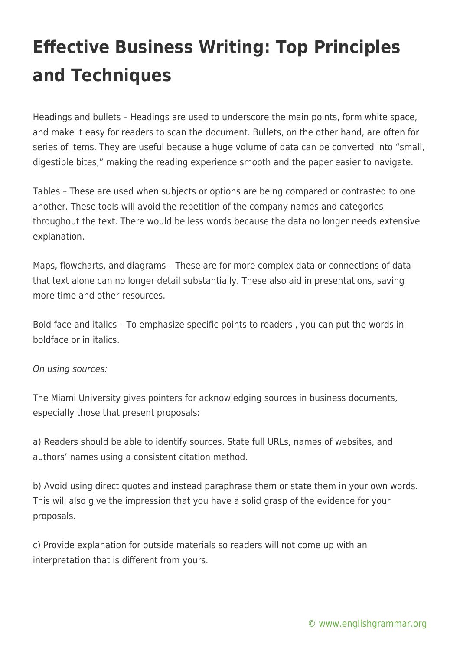Headings and bullets – Headings are used to underscore the main points, form white space, and make it easy for readers to scan the document. Bullets, on the other hand, are often for series of items. They are useful because a huge volume of data can be converted into "small, digestible bites," making the reading experience smooth and the paper easier to navigate.

Tables – These are used when subjects or options are being compared or contrasted to one another. These tools will avoid the repetition of the company names and categories throughout the text. There would be less words because the data no longer needs extensive explanation.

Maps, flowcharts, and diagrams – These are for more complex data or connections of data that text alone can no longer detail substantially. These also aid in presentations, saving more time and other resources.

Bold face and italics – To emphasize specific points to readers , you can put the words in boldface or in italics.

#### On using sources:

The Miami University gives pointers for acknowledging sources in business documents, especially those that present proposals:

a) Readers should be able to identify sources. State full URLs, names of websites, and authors' names using a consistent citation method.

b) Avoid using direct quotes and instead paraphrase them or state them in your own words. This will also give the impression that you have a solid grasp of the evidence for your proposals.

c) Provide explanation for outside materials so readers will not come up with an interpretation that is different from yours.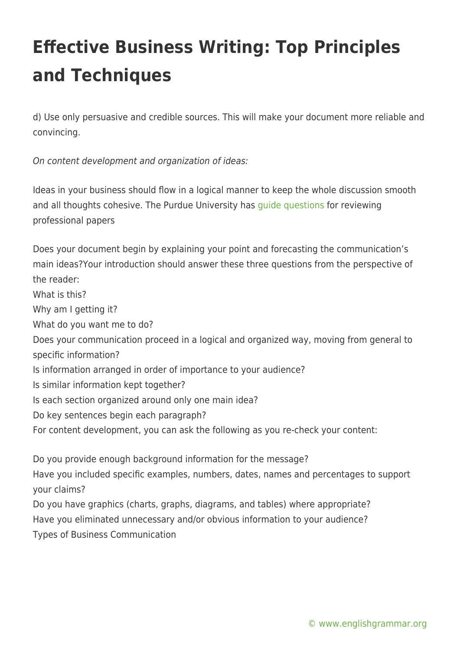d) Use only persuasive and credible sources. This will make your document more reliable and convincing.

On content development and organization of ideas:

Ideas in your business should flow in a logical manner to keep the whole discussion smooth and all thoughts cohesive. The Purdue University has [guide questions](https://owl.purdue.edu/owl/subject_specific_writing/professional_technical_writing/prioritizing_your_concerns_for_effective_business_writing/index.html) for reviewing professional papers

Does your document begin by explaining your point and forecasting the communication's main ideas?Your introduction should answer these three questions from the perspective of the reader: What is this? Why am I getting it? What do you want me to do? Does your communication proceed in a logical and organized way, moving from general to specific information? Is information arranged in order of importance to your audience? Is similar information kept together? Is each section organized around only one main idea? Do key sentences begin each paragraph? For content development, you can ask the following as you re-check your content: Do you provide enough background information for the message? Have you included specific examples, numbers, dates, names and percentages to support your claims?

Do you have graphics (charts, graphs, diagrams, and tables) where appropriate? Have you eliminated unnecessary and/or obvious information to your audience? Types of Business Communication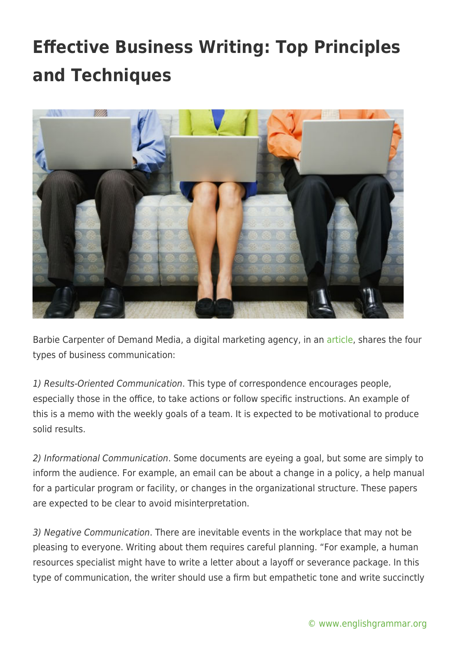

Barbie Carpenter of Demand Media, a digital marketing agency, in an [article,](https://smallbusiness.chron.com/four-types-communication-business-writing-21695.html) shares the four types of business communication:

1) Results-Oriented Communication. This type of correspondence encourages people, especially those in the office, to take actions or follow specific instructions. An example of this is a memo with the weekly goals of a team. It is expected to be motivational to produce solid results.

2) Informational Communication. Some documents are eyeing a goal, but some are simply to inform the audience. For example, an email can be about a change in a policy, a help manual for a particular program or facility, or changes in the organizational structure. These papers are expected to be clear to avoid misinterpretation.

3) Negative Communication. There are inevitable events in the workplace that may not be pleasing to everyone. Writing about them requires careful planning. "For example, a human resources specialist might have to write a letter about a layoff or severance package. In this type of communication, the writer should use a firm but empathetic tone and write succinctly